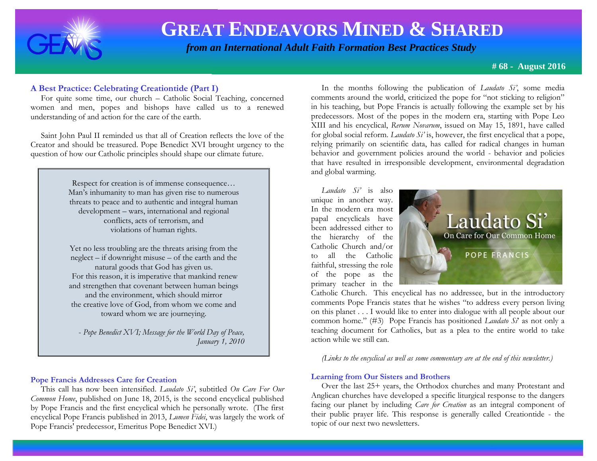

 *from an International Adult Faith Formation Best Practices Study*

**# 68 - August 2016**

 For quite some time, our church – Catholic Social Teaching, concerned women and men, popes and bishops have called us to a renewed understanding of and action for the care of the earth.

 Saint John Paul II reminded us that all of Creation reflects the love of the Creator and should be treasured. Pope Benedict XVI brought urgency to the question of how our Catholic principles should shape our climate future.

> Respect for creation is of immense consequence… Man's inhumanity to man has given rise to numerous threats to peace and to authentic and integral human development – wars, international and regional conflicts, acts of terrorism, and violations of human rights.

> Yet no less troubling are the threats arising from the neglect – if downright misuse – of the earth and the natural goods that God has given us. For this reason, it is imperative that mankind renew and strengthen that covenant between human beings and the environment, which should mirror the creative love of God, from whom we come and toward whom we are journeying.

 - *Pope Benedict XVI; Message for the World Day of Peace, January 1, 2010*

#### **Pope Francis Addresses Care for Creation**

This call has now been intensified. *Laudato Si'*, subtitled *On Care For Our Common Home*, published on June 18, 2015, is the second encyclical published by Pope Francis and the first encyclical which he personally wrote. (The first encyclical Pope Francis published in 2013, *Lumen Fidei*, was largely the work of Pope Francis' predecessor, Emeritus Pope Benedict XVI.)

**A Best Practice: Celebrating Creationtide (Part I)** In the months following the publication of *Laudato Si'*, some media comments around the world, criticized the pope for "not sticking to religion" in his teaching, but Pope Francis is actually following the example set by his predecessors. Most of the popes in the modern era, starting with Pope Leo XIII and his encyclical, *Rerum Novarum*, issued on May 15, 1891, have called for global social reform. *Laudato Si'* is, however, the first encyclical that a pope, relying primarily on scientific data, has called for radical changes in human behavior and government policies around the world - behavior and policies that have resulted in irresponsible development, environmental degradation and global warming.

> *Laudato Si'* is also unique in another way. In the modern era most papal encyclicals have been addressed either to the hierarchy of the Catholic Church and/or to all the Catholic faithful, stressing the role of the pope as the primary teacher in the



Catholic Church. This encyclical has no addressee, but in the introductory comments Pope Francis states that he wishes "to address every person living on this planet . . . I would like to enter into dialogue with all people about our common home." (#3) Pope Francis has positioned *Laudato Si*' as not only a teaching document for Catholics, but as a plea to the entire world to take action while we still can.

*(Links to the encyclical as well as some commentary are at the end of this newsletter.)*

#### **Learning from Our Sisters and Brothers**

 Over the last 25+ years, the Orthodox churches and many Protestant and Anglican churches have developed a specific liturgical response to the dangers facing our planet by including *Care for Creation* as an integral component of their public prayer life. This response is generally called Creationtide - the topic of our next two newsletters.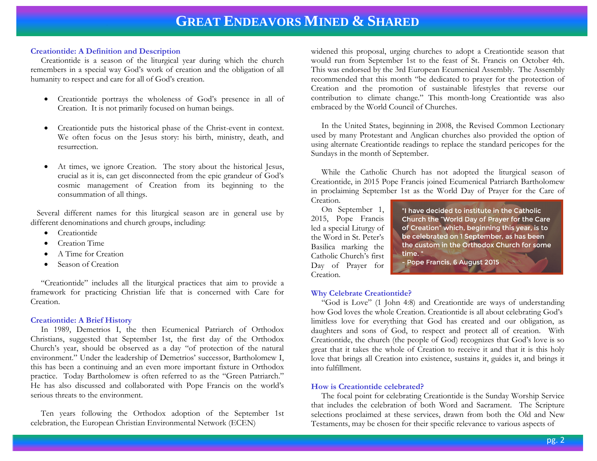#### **Creationtide: A Definition and Description**

Creationtide is a season of the liturgical year during which the church remembers in a special way God's work of creation and the obligation of all humanity to respect and care for all of God's creation.

- Creationtide portrays the wholeness of God's presence in all of Creation. It is not primarily focused on human beings.
- Creationtide puts the historical phase of the Christ-event in context. We often focus on the Jesus story: his birth, ministry, death, and resurrection.
- At times, we ignore Creation. The story about the historical Jesus, crucial as it is, can get disconnected from the epic grandeur of God's cosmic management of Creation from its beginning to the consummation of all things.

 Several different names for this liturgical season are in general use by different denominations and church groups, including:

- Creationtide
- Creation Time
- A Time for Creation
- Season of Creation

 "Creationtide" includes all the liturgical practices that aim to provide a framework for practicing Christian life that is concerned with Care for Creation.

#### **Creationtide: A Brief History**

 In 1989, Demetrios I, the then Ecumenical Patriarch of Orthodox Christians, suggested that September 1st, the first day of the Orthodox Church's year, should be observed as a day "of protection of the natural environment." Under the leadership of Demetrios' successor, Bartholomew I, this has been a continuing and an even more important fixture in Orthodox practice. Today Bartholomew is often referred to as the "Green Patriarch." He has also discussed and collaborated with Pope Francis on the world's serious threats to the environment.

 Ten years following the Orthodox adoption of the September 1st celebration, the European Christian Environmental Network (ECEN)

widened this proposal, urging churches to adopt a Creationtide season that would run from September 1st to the feast of St. Francis on October 4th. This was endorsed by the 3rd European Ecumenical Assembly. The Assembly recommended that this month "be dedicated to prayer for the protection of Creation and the promotion of sustainable lifestyles that reverse our contribution to climate change." This month-long Creationtide was also embraced by the World Council of Churches.

 In the United States, beginning in 2008, the Revised Common Lectionary used by many Protestant and Anglican churches also provided the option of using alternate Creationtide readings to replace the standard pericopes for the Sundays in the month of September.

 While the Catholic Church has not adopted the liturgical season of Creationtide, in 2015 Pope Francis joined Ecumenical Patriarch Bartholomew in proclaiming September 1st as the World Day of Prayer for the Care of Creation.

 On September 1, 2015, Pope Francis led a special Liturgy of the Word in St. Peter's Basilica marking the Catholic Church's first Day of Prayer for Creation.

"I have decided to institute in the Catholic Church the "World Day of Prayer for the Care of Creation" which, beginning this year, is to be celebrated on 1 September, as has been the custom in the Orthodox Church for some time."

- Pope Francis, 6 August 2015

#### **Why Celebrate Creationtide?**

 "God is Love" (1 John 4:8) and Creationtide are ways of understanding how God loves the whole Creation. Creationtide is all about celebrating God's limitless love for everything that God has created and our obligation, as daughters and sons of God, to respect and protect all of creation. With Creationtide, the church (the people of God) recognizes that God's love is so great that it takes the whole of Creation to receive it and that it is this holy love that brings all Creation into existence, sustains it, guides it, and brings it into fulfillment.

#### **How is Creationtide celebrated?**

 The focal point for celebrating Creationtide is the Sunday Worship Service that includes the celebration of both Word and Sacrament. The Scripture selections proclaimed at these services, drawn from both the Old and New Testaments, may be chosen for their specific relevance to various aspects of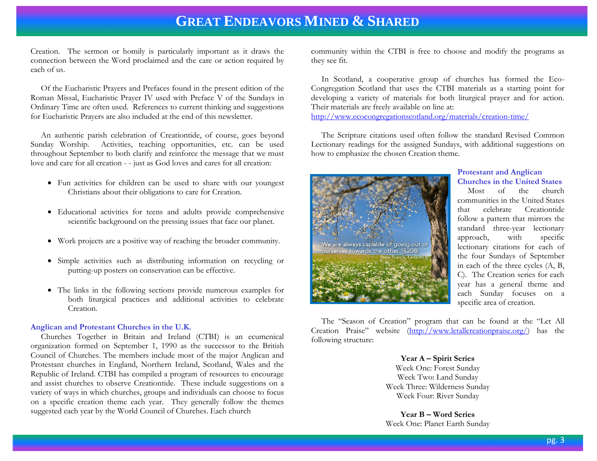Creation. The sermon or homily is particularly important as it draws the connection between the Word proclaimed and the care or action required by each of us.

 Of the Eucharistic Prayers and Prefaces found in the present edition of the Roman Missal, Eucharistic Prayer IV used with Preface V of the Sundays in Ordinary Time are often used. References to current thinking and suggestions for Eucharistic Prayers are also included at the end of this newsletter.

 An authentic parish celebration of Creationtide, of course, goes beyond Sunday Worship. Activities, teaching opportunities, etc. can be used throughout September to both clarify and reinforce the message that we must love and care for all creation - - just as God loves and cares for all creation:

- Fun activities for children can be used to share with our youngest Christians about their obligations to care for Creation.
- Educational activities for teens and adults provide comprehensive scientific background on the pressing issues that face our planet.
- Work projects are a positive way of reaching the broader community.
- Simple activities such as distributing information on recycling or putting-up posters on conservation can be effective.
- The links in the following sections provide numerous examples for both liturgical practices and additional activities to celebrate Creation.

#### **Anglican and Protestant Churches in the U.K.**

 Churches Together in Britain and Ireland (CTBI) is an ecumenical organization formed on September 1, 1990 as the successor to the British Council of Churches. The members include most of the major Anglican and Protestant churches in England, Northern Ireland, Scotland, Wales and the Republic of Ireland. CTBI has compiled a program of resources to encourage and assist churches to observe Creationtide. These include suggestions on a variety of ways in which churches, groups and individuals can choose to focus on a specific creation theme each year. They generally follow the themes suggested each year by the World Council of Churches. Each church

community within the CTBI is free to choose and modify the programs as they see fit.

 In Scotland, a cooperative group of churches has formed the Eco-Congregation Scotland that uses the CTBI materials as a starting point for developing a variety of materials for both liturgical prayer and for action. Their materials are freely available on line at: <http://www.ecocongregationscotland.org/materials/creation-time/>

 The Scripture citations used often follow the standard Revised Common Lectionary readings for the assigned Sundays, with additional suggestions on how to emphasize the chosen Creation theme.



#### **Protestant and Anglican Churches in the United States**

Most of the church communities in the United States that celebrate Creationtide follow a pattern that mirrors the standard three-year lectionary approach, with specific lectionary citations for each of the four Sundays of September in each of the three cycles (A, B, C). The Creation series for each year has a general theme and each Sunday focuses on a specific area of creation.

 The "Season of Creation" program that can be found at the "Let All Creation Praise" website [\(http://www.letallcreationpraise.org/\)](http://www.letallcreationpraise.org/) has the following structure:

> **Year A – Spirit Series** Week One: Forest Sunday Week Two: Land Sunday Week Three: Wilderness Sunday Week Four: River Sunday

> **Year B – Word Series** Week One: Planet Earth Sunday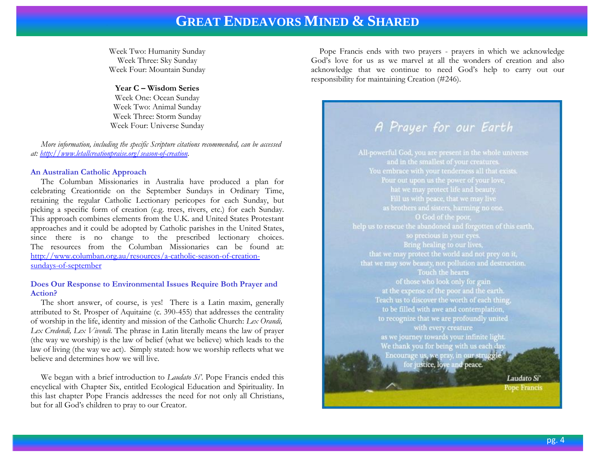Week Two: Humanity Sunday Week Three: Sky Sunday Week Four: Mountain Sunday

#### **Year C – Wisdom Series**

Week One: Ocean Sunday Week Two: Animal Sunday Week Three: Storm Sunday Week Four: Universe Sunday

 *More information, including the specific Scripture citations recommended, can be accessed at: [http://www.letallcreationpraise.org/season-of-creation.](http://www.letallcreationpraise.org/season-of-creation)*

#### **An Australian Catholic Approach**

 The Columban Missionaries in Australia have produced a plan for celebrating Creationtide on the September Sundays in Ordinary Time, retaining the regular Catholic Lectionary pericopes for each Sunday, but picking a specific form of creation (e.g. trees, rivers, etc.) for each Sunday. This approach combines elements from the U.K. and United States Protestant approaches and it could be adopted by Catholic parishes in the United States, since there is no change to the prescribed lectionary choices. The resources from the Columban Missionaries can be found at: [http://www.columban.org.au/resources/a-catholic-season-of-creation](http://www.columban.org.au/resources/a-catholic-season-of-creation-sundays-of-september)[sundays-of-september](http://www.columban.org.au/resources/a-catholic-season-of-creation-sundays-of-september)

#### **Does Our Response to Environmental Issues Require Both Prayer and Action?**

 The short answer, of course, is yes! There is a Latin maxim, generally attributed to St. Prosper of Aquitaine (c. 390-455) that addresses the centrality of worship in the life, identity and mission of the Catholic Church: *Lex Orandi, Lex Credendi, Lex Vivendi.* The phrase in Latin literally means the law of prayer (the way we worship) is the law of belief (what we believe) which leads to the law of living (the way we act). Simply stated: how we worship reflects what we believe and determines how we will live.

 We began with a brief introduction to *Laudato Sí'*. Pope Francis ended this encyclical with Chapter Six, entitled Ecological Education and Spirituality. In this last chapter Pope Francis addresses the need for not only all Christians, but for all God's children to pray to our Creator.

 Pope Francis ends with two prayers - prayers in which we acknowledge God's love for us as we marvel at all the wonders of creation and also acknowledge that we continue to need God's help to carry out our responsibility for maintaining Creation (#246).

### A Prayer for our Earth

All-powerful God, you are present in the whole universe and in the smallest of your creatures. Pour out upon us the power of your love, help us to rescue the abandoned and forgotten of this earth, Bring healing to our lives, Touch the hearts of those who look only for gain at the expense of the poor and the earth. Teach us to discover the worth of each thing, to be filled with awe and contemplation. to recognize that we are profoundly united with every creature as we journey towards your infinite light. We thank you for being with us each day. Encourage us, we pray, in our struggle for justice, love and peace. Laudato Si'

**Pope Francis**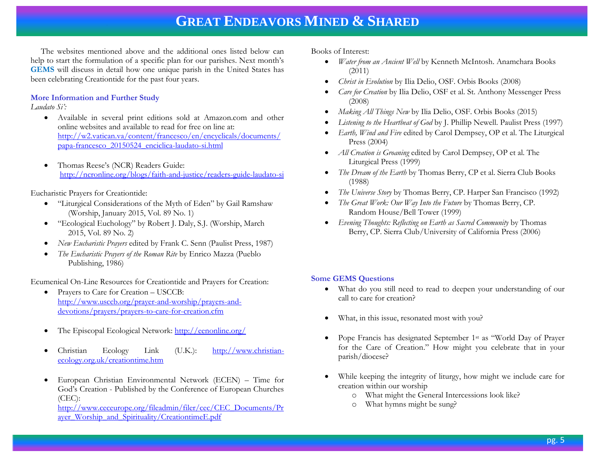The websites mentioned above and the additional ones listed below can help to start the formulation of a specific plan for our parishes. Next month's **GEMS** will discuss in detail how one unique parish in the United States has been celebrating Creationtide for the past four years.

#### **More Information and Further Study**

#### *Laudato Si':*

- Available in several print editions sold at Amazon.com and other online websites and available to read for free on line at: [http://w2.vatican.va/content/francesco/en/encyclicals/documents/](http://w2.vatican.va/content/francesco/en/encyclicals/documents/papa-francesco_20150524_enciclica-laudato-si.html) [papa-francesco\\_20150524\\_enciclica-laudato-si.html](http://w2.vatican.va/content/francesco/en/encyclicals/documents/papa-francesco_20150524_enciclica-laudato-si.html)
- Thomas Reese's (NCR) Readers Guide: <http://ncronline.org/blogs/faith-and-justice/readers-guide-laudato-si>

Eucharistic Prayers for Creationtide:

- "Liturgical Considerations of the Myth of Eden" by Gail Ramshaw (Worship, January 2015, Vol. 89 No. 1)
- "Ecological Euchology" by Robert J. Daly, S.J. (Worship, March 2015, Vol. 89 No. 2)
- *New Eucharistic Prayers* edited by Frank C. Senn (Paulist Press, 1987)
- *The Eucharistic Prayers of the Roman Rite* by Enrico Mazza (Pueblo Publishing, 1986)

Ecumenical On-Line Resources for Creationtide and Prayers for Creation:

- Prayers to Care for Creation USCCB: [http://www.usccb.org/prayer-and-worship/prayers-and](http://www.usccb.org/prayer-and-worship/prayers-and-devotions/prayers/prayers-to-care-for-creation.cfm)[devotions/prayers/prayers-to-care-for-creation.cfm](http://www.usccb.org/prayer-and-worship/prayers-and-devotions/prayers/prayers-to-care-for-creation.cfm)
- The Episcopal Ecological Network:<http://eenonline.org/>
- Christian Ecology Link (U.K.): [http://www.christian](http://www.christian-ecology.org.uk/creationtime.htm)[ecology.org.uk/creationtime.htm](http://www.christian-ecology.org.uk/creationtime.htm)
- European Christian Environmental Network (ECEN) Time for God's Creation - Published by the Conference of European Churches (CEC):

[http://www.ceceurope.org/fileadmin/filer/cec/CEC\\_Documents/Pr](http://www.ceceurope.org/fileadmin/filer/cec/CEC_Documents/Prayer_Worship_and_Spirituality/CreationtimeE.pdf) [ayer\\_Worship\\_and\\_Spirituality/CreationtimeE.pdf](http://www.ceceurope.org/fileadmin/filer/cec/CEC_Documents/Prayer_Worship_and_Spirituality/CreationtimeE.pdf)

Books of Interest:

- *Water from an Ancient Well* by Kenneth McIntosh. Anamchara Books  $(2011)$
- *Christ in Evolution* by Ilia Delio, OSF. Orbis Books (2008)
- *Care for Creation* by Ilia Delio, OSF et al. St. Anthony Messenger Press (2008)
- *Making All Things New* by Ilia Delio, OSF. Orbis Books (2015)
- *Listening to the Heartbeat of God* by J. Phillip Newell. Paulist Press (1997)
- *Earth, Wind and Fire* edited by Carol Dempsey, OP et al. The Liturgical Press (2004)
- *All Creation is Groaning* edited by Carol Dempsey, OP et al. The Liturgical Press (1999)
- *The Dream of the Earth* by Thomas Berry, CP et al. Sierra Club Books (1988)
- *The Universe Story* by Thomas Berry, CP. Harper San Francisco (1992)
- *The Great Work: Our Way Into the Future* by Thomas Berry, CP. Random House/Bell Tower (1999)
- *Evening Thoughts: Reflecting on Earth as Sacred Community* by Thomas Berry, CP. Sierra Club/University of California Press (2006)

### **Some GEMS Questions**

- What do you still need to read to deepen your understanding of our call to care for creation?
- What, in this issue, resonated most with you?
- Pope Francis has designated September 1st as "World Day of Prayer for the Care of Creation." How might you celebrate that in your parish/diocese?
- While keeping the integrity of liturgy, how might we include care for creation within our worship
	- o What might the General Intercessions look like?
	- o What hymns might be sung?